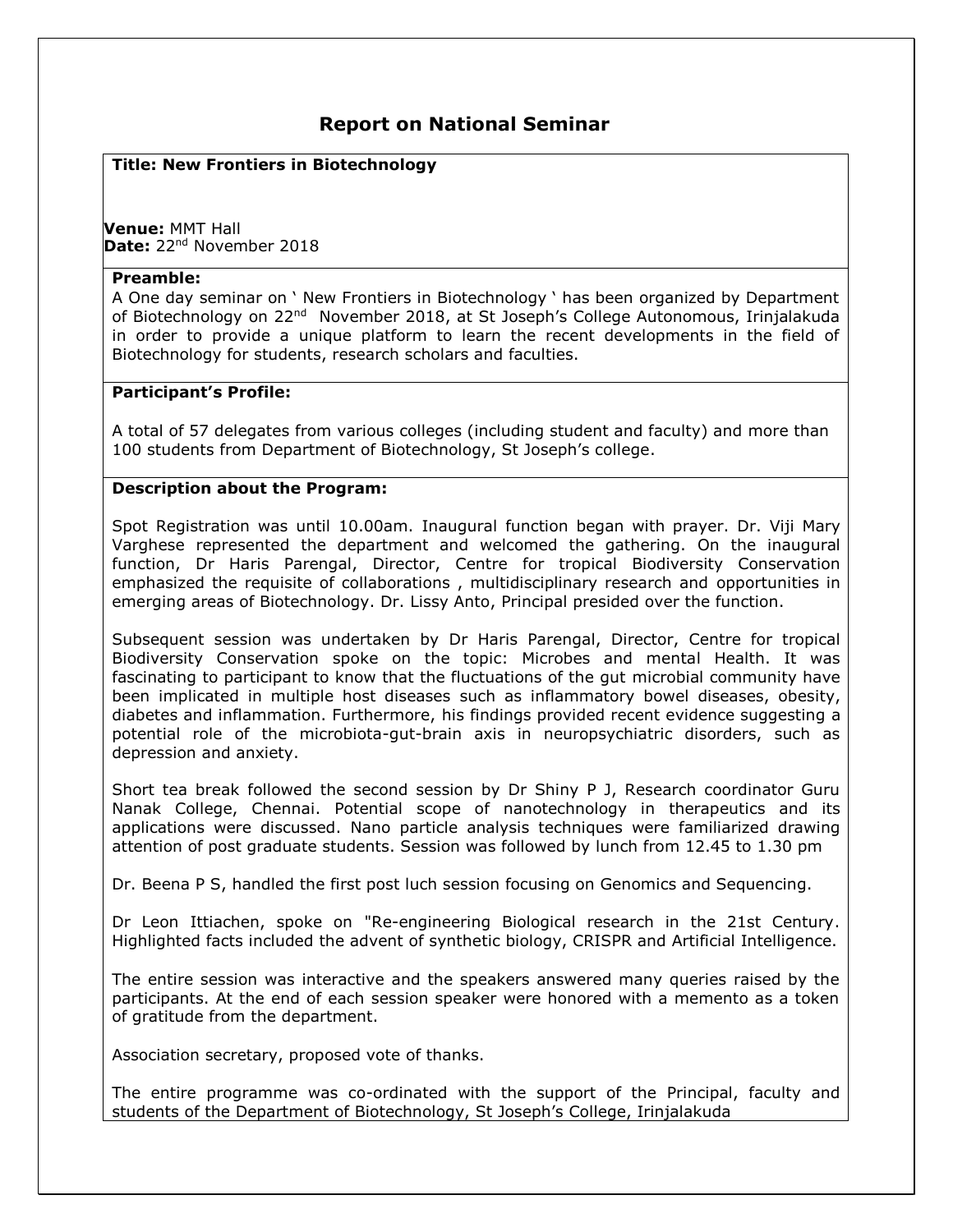# **Report on National Seminar**

### **Title: New Frontiers in Biotechnology**

**Venue:** MMT Hall Date: 22<sup>nd</sup> November 2018

#### **Preamble:**

A One day seminar on ' New Frontiers in Biotechnology ' has been organized by Department of Biotechnology on 22<sup>nd</sup> November 2018, at St Joseph's College Autonomous, Irinjalakuda in order to provide a unique platform to learn the recent developments in the field of Biotechnology for students, research scholars and faculties.

#### **Participant's Profile:**

A total of 57 delegates from various colleges (including student and faculty) and more than 100 students from Department of Biotechnology, St Joseph's college.

## **Description about the Program:**

Spot Registration was until 10.00am. Inaugural function began with prayer. Dr. Viji Mary Varghese represented the department and welcomed the gathering. On the inaugural function, Dr Haris Parengal, Director, Centre for tropical Biodiversity Conservation emphasized the requisite of collaborations , multidisciplinary research and opportunities in emerging areas of Biotechnology. Dr. Lissy Anto, Principal presided over the function.

Subsequent session was undertaken by Dr Haris Parengal, Director, Centre for tropical Biodiversity Conservation spoke on the topic: Microbes and mental Health. It was fascinating to participant to know that the fluctuations of the gut microbial community have been implicated in multiple host diseases such as inflammatory bowel diseases, obesity, diabetes and inflammation. Furthermore, his findings provided recent evidence suggesting a potential role of the microbiota-gut-brain axis in neuropsychiatric disorders, such as depression and anxiety.

Short tea break followed the second session by Dr Shiny P J, Research coordinator Guru Nanak College, Chennai. Potential scope of nanotechnology in therapeutics and its applications were discussed. Nano particle analysis techniques were familiarized drawing attention of post graduate students. Session was followed by lunch from 12.45 to 1.30 pm

Dr. Beena P S, handled the first post luch session focusing on Genomics and Sequencing.

Dr Leon Ittiachen, spoke on "Re-engineering Biological research in the 21st Century. Highlighted facts included the advent of synthetic biology, CRISPR and Artificial Intelligence.

The entire session was interactive and the speakers answered many queries raised by the participants. At the end of each session speaker were honored with a memento as a token of gratitude from the department.

Association secretary, proposed vote of thanks.

The entire programme was co-ordinated with the support of the Principal, faculty and students of the Department of Biotechnology, St Joseph's College, Irinjalakuda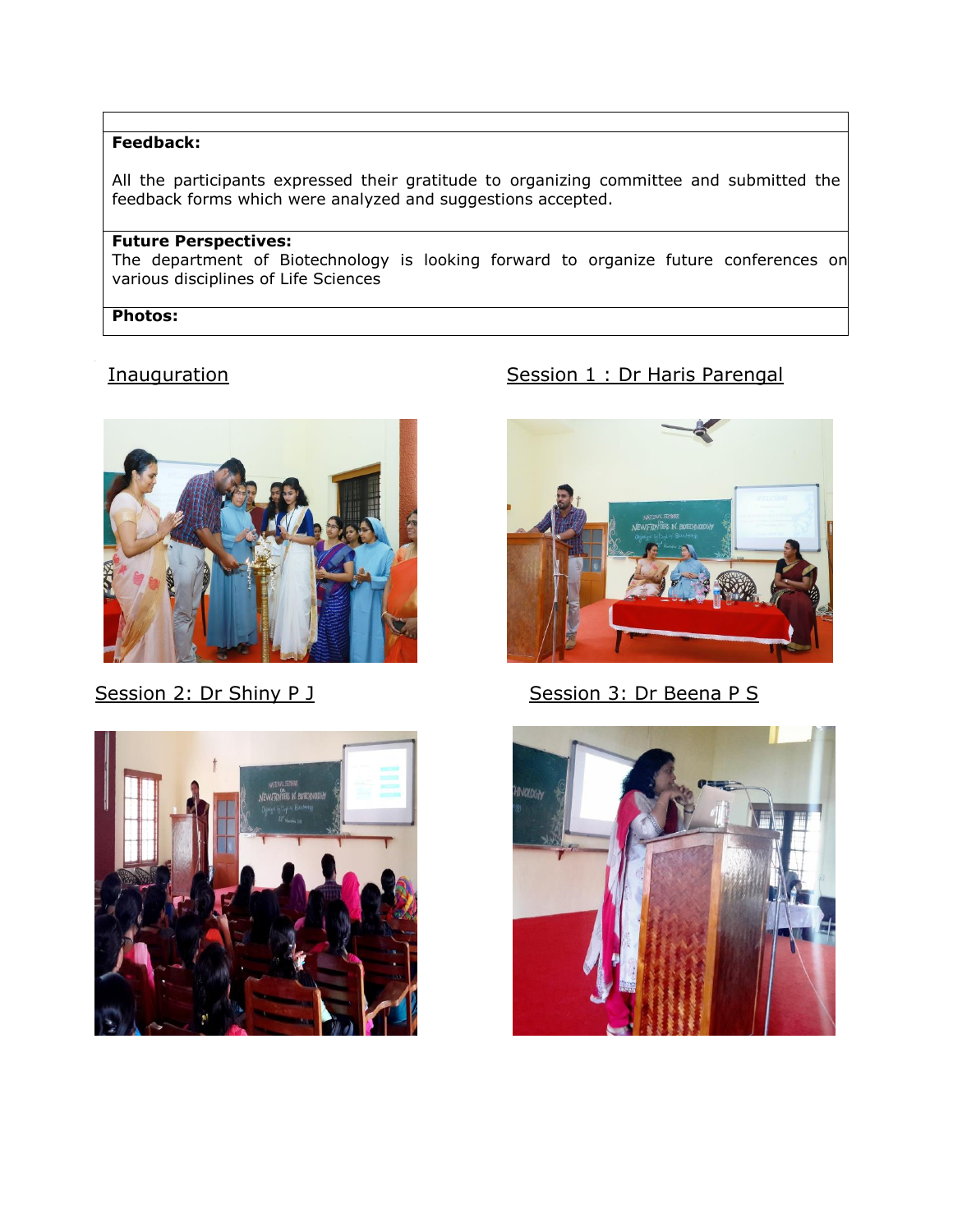## **Feedback:**

All the participants expressed their gratitude to organizing committee and submitted the feedback forms which were analyzed and suggestions accepted.

# **Future Perspectives:**

The department of Biotechnology is looking forward to organize future conferences on various disciplines of Life Sciences

## **Photos:**





# Inauguration **Institute Session 1 : Dr Haris Parengal**



Session 2: Dr Shiny P J **Session 3: Dr Beena P S**